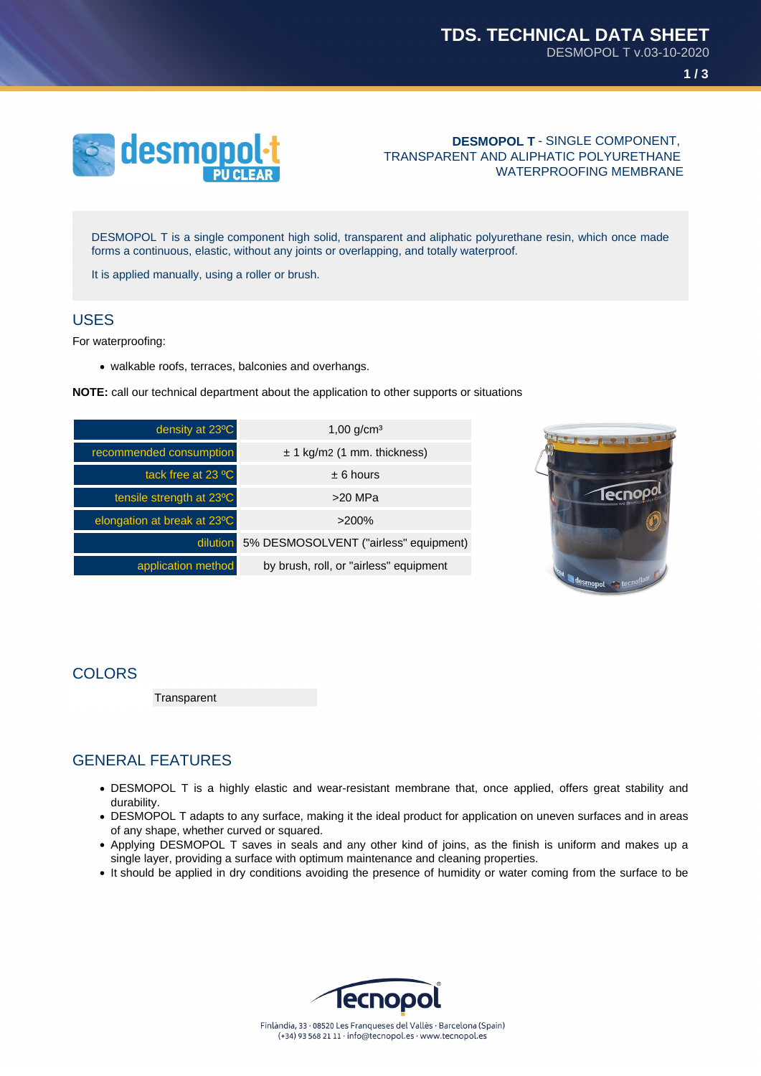

#### **DESMOPOL T** - SINGLE COMPONENT, TRANSPARENT AND ALIPHATIC POLYURETHANE WATERPROOFING MEMBRANE

DESMOPOL T is a single component high solid, transparent and aliphatic polyurethane resin, which once made forms a continuous, elastic, without any joints or overlapping, and totally waterproof.

It is applied manually, using a roller or brush.

### USES

For waterproofing:

• walkable roofs, terraces, balconies and overhangs.

**NOTE:** call our technical department about the application to other supports or situations

| density at 23°C             | $1,00$ g/cm <sup>3</sup>                       |
|-----------------------------|------------------------------------------------|
| recommended consumption     | $\pm$ 1 kg/m2 (1 mm. thickness)                |
| tack free at 23 °C          | $± 6$ hours                                    |
| tensile strength at 23°C    | $>20$ MPa                                      |
| elongation at break at 23°C | $>200\%$                                       |
|                             | dilution 5% DESMOSOLVENT ("airless" equipment) |
| application method          | by brush, roll, or "airless" equipment         |



### **COLORS**

**Transparent** 

# GENERAL FEATURES

- DESMOPOL T is a highly elastic and wear-resistant membrane that, once applied, offers great stability and durability.
- DESMOPOL T adapts to any surface, making it the ideal product for application on uneven surfaces and in areas of any shape, whether curved or squared.
- Applying DESMOPOL T saves in seals and any other kind of joins, as the finish is uniform and makes up a single layer, providing a surface with optimum maintenance and cleaning properties.
- It should be applied in dry conditions avoiding the presence of humidity or water coming from the surface to be

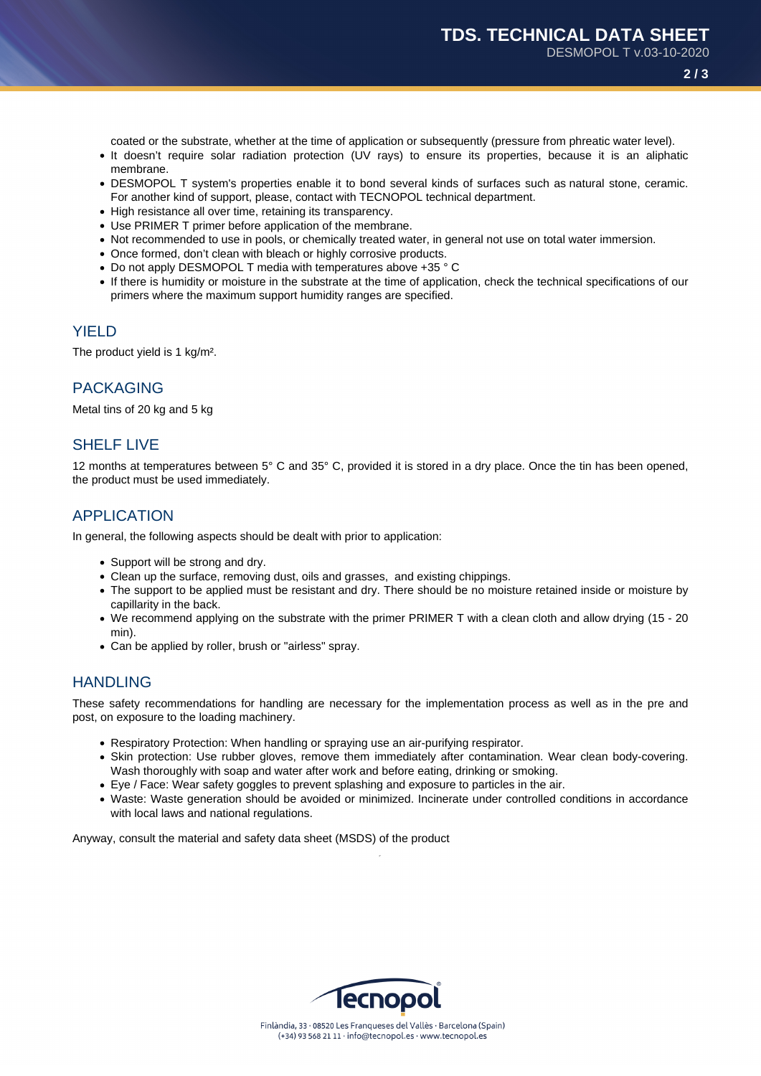**2 / 3**

coated or the substrate, whether at the time of application or subsequently (pressure from phreatic water level).

- It doesn't require solar radiation protection (UV rays) to ensure its properties, because it is an aliphatic membrane.
- DESMOPOL T system's properties enable it to bond several kinds of surfaces such as natural stone, ceramic. For another kind of support, please, contact with TECNOPOL technical department.
- High resistance all over time, retaining its transparency.
- Use PRIMER T primer before application of the membrane.
- Not recommended to use in pools, or chemically treated water, in general not use on total water immersion.
- Once formed, don't clean with bleach or highly corrosive products.
- Do not apply DESMOPOL T media with temperatures above +35 °C
- If there is humidity or moisture in the substrate at the time of application, check the technical specifications of our primers where the maximum support humidity ranges are specified.

### **YIELD**

The product yield is 1 kg/m².

### PACKAGING

Metal tins of 20 kg and 5 kg

# SHELF LIVE

12 months at temperatures between 5° C and 35° C, provided it is stored in a dry place. Once the tin has been opened, the product must be used immediately.

### APPLICATION

In general, the following aspects should be dealt with prior to application:

- Support will be strong and dry.
- Clean up the surface, removing dust, oils and grasses, and existing chippings.
- The support to be applied must be resistant and dry. There should be no moisture retained inside or moisture by capillarity in the back.
- We recommend applying on the substrate with the primer PRIMER T with a clean cloth and allow drying (15 20 min).
- Can be applied by roller, brush or "airless" spray.

### HANDLING

These safety recommendations for handling are necessary for the implementation process as well as in the pre and post, on exposure to the loading machinery.

- Respiratory Protection: When handling or spraying use an air-purifying respirator.
- Skin protection: Use rubber gloves, remove them immediately after contamination. Wear clean body-covering. Wash thoroughly with soap and water after work and before eating, drinking or smoking.
- Eye / Face: Wear safety goggles to prevent splashing and exposure to particles in the air.
- Waste: Waste generation should be avoided or minimized. Incinerate under controlled conditions in accordance with local laws and national regulations.

Anyway, consult the material and safety data sheet (MSDS) of the product